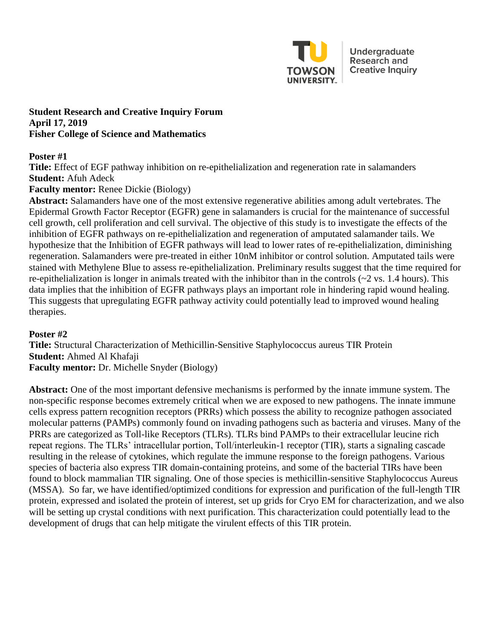

Undergraduate **Research and Creative Inquiry** 

### **Student Research and Creative Inquiry Forum April 17, 2019 Fisher College of Science and Mathematics**

### **Poster #1**

**Title:** Effect of EGF pathway inhibition on re-epithelialization and regeneration rate in salamanders **Student:** Afuh Adeck

# **Faculty mentor:** Renee Dickie (Biology)

**Abstract:** Salamanders have one of the most extensive regenerative abilities among adult vertebrates. The Epidermal Growth Factor Receptor (EGFR) gene in salamanders is crucial for the maintenance of successful cell growth, cell proliferation and cell survival. The objective of this study is to investigate the effects of the inhibition of EGFR pathways on re-epithelialization and regeneration of amputated salamander tails. We hypothesize that the Inhibition of EGFR pathways will lead to lower rates of re-epithelialization, diminishing regeneration. Salamanders were pre-treated in either 10nM inhibitor or control solution. Amputated tails were stained with Methylene Blue to assess re-epithelialization. Preliminary results suggest that the time required for re-epithelialization is longer in animals treated with the inhibitor than in the controls (~2 vs. 1.4 hours). This data implies that the inhibition of EGFR pathways plays an important role in hindering rapid wound healing. This suggests that upregulating EGFR pathway activity could potentially lead to improved wound healing therapies.

### **Poster #2**

**Title:** Structural Characterization of Methicillin-Sensitive Staphylococcus aureus TIR Protein **Student:** Ahmed Al Khafaji **Faculty mentor:** Dr. Michelle Snyder (Biology)

**Abstract:** One of the most important defensive mechanisms is performed by the innate immune system. The non-specific response becomes extremely critical when we are exposed to new pathogens. The innate immune cells express pattern recognition receptors (PRRs) which possess the ability to recognize pathogen associated molecular patterns (PAMPs) commonly found on invading pathogens such as bacteria and viruses. Many of the PRRs are categorized as Toll-like Receptors (TLRs). TLRs bind PAMPs to their extracellular leucine rich repeat regions. The TLRs' intracellular portion, Toll/interleukin-1 receptor (TIR), starts a signaling cascade resulting in the release of cytokines, which regulate the immune response to the foreign pathogens. Various species of bacteria also express TIR domain-containing proteins, and some of the bacterial TIRs have been found to block mammalian TIR signaling. One of those species is methicillin-sensitive Staphylococcus Aureus (MSSA). So far, we have identified/optimized conditions for expression and purification of the full-length TIR protein, expressed and isolated the protein of interest, set up grids for Cryo EM for characterization, and we also will be setting up crystal conditions with next purification. This characterization could potentially lead to the development of drugs that can help mitigate the virulent effects of this TIR protein.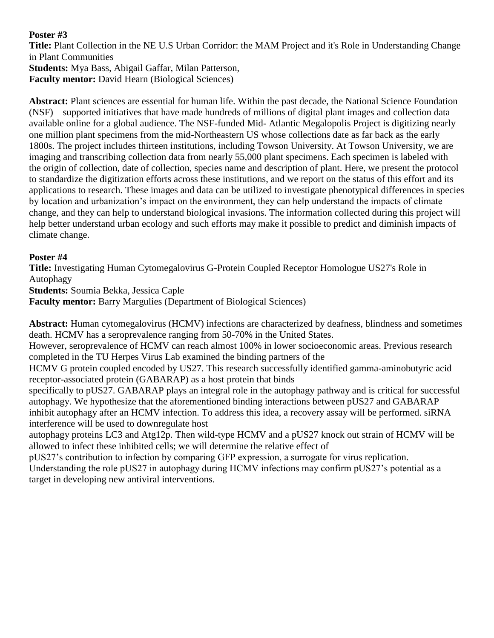**Title:** Plant Collection in the NE U.S Urban Corridor: the MAM Project and it's Role in Understanding Change in Plant Communities

**Students:** Mya Bass, Abigail Gaffar, Milan Patterson, **Faculty mentor:** David Hearn (Biological Sciences)

**Abstract:** Plant sciences are essential for human life. Within the past decade, the National Science Foundation (NSF) – supported initiatives that have made hundreds of millions of digital plant images and collection data available online for a global audience. The NSF-funded Mid- Atlantic Megalopolis Project is digitizing nearly one million plant specimens from the mid-Northeastern US whose collections date as far back as the early 1800s. The project includes thirteen institutions, including Towson University. At Towson University, we are imaging and transcribing collection data from nearly 55,000 plant specimens. Each specimen is labeled with the origin of collection, date of collection, species name and description of plant. Here, we present the protocol to standardize the digitization efforts across these institutions, and we report on the status of this effort and its applications to research. These images and data can be utilized to investigate phenotypical differences in species by location and urbanization's impact on the environment, they can help understand the impacts of climate change, and they can help to understand biological invasions. The information collected during this project will help better understand urban ecology and such efforts may make it possible to predict and diminish impacts of climate change.

# **Poster #4**

**Title:** Investigating Human Cytomegalovirus G-Protein Coupled Receptor Homologue US27's Role in Autophagy

**Students:** Soumia Bekka, Jessica Caple

**Faculty mentor:** Barry Margulies (Department of Biological Sciences)

**Abstract:** Human cytomegalovirus (HCMV) infections are characterized by deafness, blindness and sometimes death. HCMV has a seroprevalence ranging from 50-70% in the United States.

However, seroprevalence of HCMV can reach almost 100% in lower socioeconomic areas. Previous research completed in the TU Herpes Virus Lab examined the binding partners of the

HCMV G protein coupled encoded by US27. This research successfully identified gamma-aminobutyric acid receptor-associated protein (GABARAP) as a host protein that binds

specifically to pUS27. GABARAP plays an integral role in the autophagy pathway and is critical for successful autophagy. We hypothesize that the aforementioned binding interactions between pUS27 and GABARAP inhibit autophagy after an HCMV infection. To address this idea, a recovery assay will be performed. siRNA interference will be used to downregulate host

autophagy proteins LC3 and Atg12p. Then wild-type HCMV and a pUS27 knock out strain of HCMV will be allowed to infect these inhibited cells; we will determine the relative effect of

pUS27's contribution to infection by comparing GFP expression, a surrogate for virus replication. Understanding the role pUS27 in autophagy during HCMV infections may confirm pUS27's potential as a target in developing new antiviral interventions.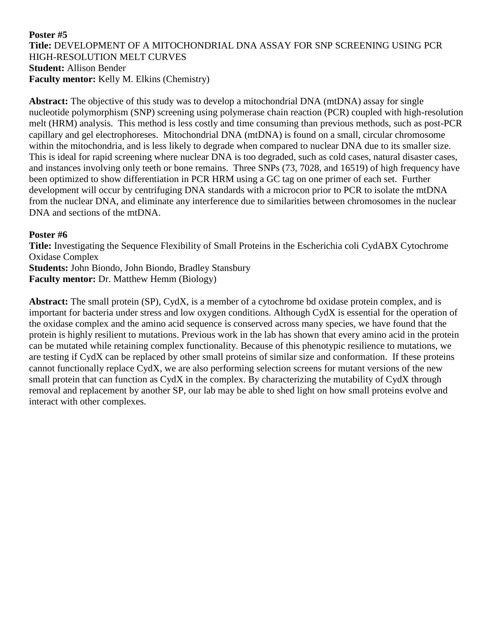### **Poster #5 Title:** DEVELOPMENT OF A MITOCHONDRIAL DNA ASSAY FOR SNP SCREENING USING PCR HIGH-RESOLUTION MELT CURVES **Student:** Allison Bender **Faculty mentor:** Kelly M. Elkins (Chemistry)

**Abstract:** The objective of this study was to develop a mitochondrial DNA (mtDNA) assay for single nucleotide polymorphism (SNP) screening using polymerase chain reaction (PCR) coupled with high-resolution melt (HRM) analysis. This method is less costly and time consuming than previous methods, such as post-PCR capillary and gel electrophoreses. Mitochondrial DNA (mtDNA) is found on a small, circular chromosome within the mitochondria, and is less likely to degrade when compared to nuclear DNA due to its smaller size. This is ideal for rapid screening where nuclear DNA is too degraded, such as cold cases, natural disaster cases, and instances involving only teeth or bone remains. Three SNPs (73, 7028, and 16519) of high frequency have been optimized to show differentiation in PCR HRM using a GC tag on one primer of each set. Further development will occur by centrifuging DNA standards with a microcon prior to PCR to isolate the mtDNA from the nuclear DNA, and eliminate any interference due to similarities between chromosomes in the nuclear DNA and sections of the mtDNA.

### **Poster #6**

**Title:** Investigating the Sequence Flexibility of Small Proteins in the Escherichia coli CydABX Cytochrome Oxidase Complex **Students:** John Biondo, John Biondo, Bradley Stansbury **Faculty mentor:** Dr. Matthew Hemm (Biology)

**Abstract:** The small protein (SP), CydX, is a member of a cytochrome bd oxidase protein complex, and is important for bacteria under stress and low oxygen conditions. Although CydX is essential for the operation of the oxidase complex and the amino acid sequence is conserved across many species, we have found that the protein is highly resilient to mutations. Previous work in the lab has shown that every amino acid in the protein can be mutated while retaining complex functionality. Because of this phenotypic resilience to mutations, we are testing if CydX can be replaced by other small proteins of similar size and conformation. If these proteins cannot functionally replace CydX, we are also performing selection screens for mutant versions of the new small protein that can function as CydX in the complex. By characterizing the mutability of CydX through removal and replacement by another SP, our lab may be able to shed light on how small proteins evolve and interact with other complexes.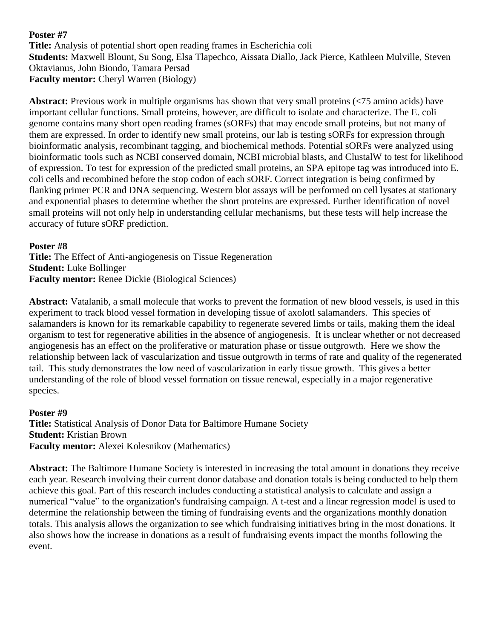**Title:** Analysis of potential short open reading frames in Escherichia coli **Students:** Maxwell Blount, Su Song, Elsa Tlapechco, Aissata Diallo, Jack Pierce, Kathleen Mulville, Steven Oktavianus, John Biondo, Tamara Persad **Faculty mentor:** Cheryl Warren (Biology)

**Abstract:** Previous work in multiple organisms has shown that very small proteins (<75 amino acids) have important cellular functions. Small proteins, however, are difficult to isolate and characterize. The E. coli genome contains many short open reading frames (sORFs) that may encode small proteins, but not many of them are expressed. In order to identify new small proteins, our lab is testing sORFs for expression through bioinformatic analysis, recombinant tagging, and biochemical methods. Potential sORFs were analyzed using bioinformatic tools such as NCBI conserved domain, NCBI microbial blasts, and ClustalW to test for likelihood of expression. To test for expression of the predicted small proteins, an SPA epitope tag was introduced into E. coli cells and recombined before the stop codon of each sORF. Correct integration is being confirmed by flanking primer PCR and DNA sequencing. Western blot assays will be performed on cell lysates at stationary and exponential phases to determine whether the short proteins are expressed. Further identification of novel small proteins will not only help in understanding cellular mechanisms, but these tests will help increase the accuracy of future sORF prediction.

# **Poster #8**

**Title:** The Effect of Anti-angiogenesis on Tissue Regeneration **Student:** Luke Bollinger **Faculty mentor:** Renee Dickie (Biological Sciences)

**Abstract:** Vatalanib, a small molecule that works to prevent the formation of new blood vessels, is used in this experiment to track blood vessel formation in developing tissue of axolotl salamanders. This species of salamanders is known for its remarkable capability to regenerate severed limbs or tails, making them the ideal organism to test for regenerative abilities in the absence of angiogenesis. It is unclear whether or not decreased angiogenesis has an effect on the proliferative or maturation phase or tissue outgrowth. Here we show the relationship between lack of vascularization and tissue outgrowth in terms of rate and quality of the regenerated tail. This study demonstrates the low need of vascularization in early tissue growth. This gives a better understanding of the role of blood vessel formation on tissue renewal, especially in a major regenerative species.

### **Poster #9**

**Title:** Statistical Analysis of Donor Data for Baltimore Humane Society **Student:** Kristian Brown **Faculty mentor:** Alexei Kolesnikov (Mathematics)

**Abstract:** The Baltimore Humane Society is interested in increasing the total amount in donations they receive each year. Research involving their current donor database and donation totals is being conducted to help them achieve this goal. Part of this research includes conducting a statistical analysis to calculate and assign a numerical "value" to the organization's fundraising campaign. A t-test and a linear regression model is used to determine the relationship between the timing of fundraising events and the organizations monthly donation totals. This analysis allows the organization to see which fundraising initiatives bring in the most donations. It also shows how the increase in donations as a result of fundraising events impact the months following the event.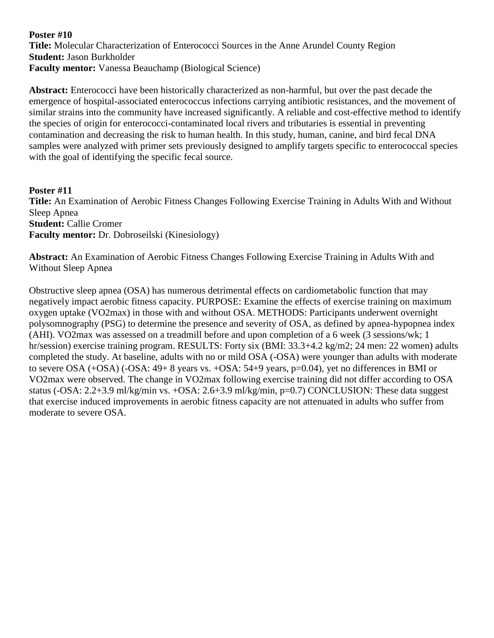**Poster #10 Title:** Molecular Characterization of Enterococci Sources in the Anne Arundel County Region **Student:** Jason Burkholder **Faculty mentor:** Vanessa Beauchamp (Biological Science)

**Abstract:** Enterococci have been historically characterized as non-harmful, but over the past decade the emergence of hospital-associated enterococcus infections carrying antibiotic resistances, and the movement of similar strains into the community have increased significantly. A reliable and cost-effective method to identify the species of origin for enterococci-contaminated local rivers and tributaries is essential in preventing contamination and decreasing the risk to human health. In this study, human, canine, and bird fecal DNA samples were analyzed with primer sets previously designed to amplify targets specific to enterococcal species with the goal of identifying the specific fecal source.

**Poster #11 Title:** An Examination of Aerobic Fitness Changes Following Exercise Training in Adults With and Without Sleep Apnea **Student:** Callie Cromer **Faculty mentor:** Dr. Dobroseilski (Kinesiology)

**Abstract:** An Examination of Aerobic Fitness Changes Following Exercise Training in Adults With and Without Sleep Apnea

Obstructive sleep apnea (OSA) has numerous detrimental effects on cardiometabolic function that may negatively impact aerobic fitness capacity. PURPOSE: Examine the effects of exercise training on maximum oxygen uptake (VO2max) in those with and without OSA. METHODS: Participants underwent overnight polysomnography (PSG) to determine the presence and severity of OSA, as defined by apnea-hypopnea index (AHI). VO2max was assessed on a treadmill before and upon completion of a 6 week (3 sessions/wk; 1 hr/session) exercise training program. RESULTS: Forty six (BMI: 33.3+4.2 kg/m2; 24 men: 22 women) adults completed the study. At baseline, adults with no or mild OSA (-OSA) were younger than adults with moderate to severe OSA (+OSA) (-OSA: 49+ 8 years vs. +OSA: 54+9 years, p=0.04), yet no differences in BMI or VO2max were observed. The change in VO2max following exercise training did not differ according to OSA status (-OSA: 2.2+3.9 ml/kg/min vs. +OSA: 2.6+3.9 ml/kg/min, p=0.7) CONCLUSION: These data suggest that exercise induced improvements in aerobic fitness capacity are not attenuated in adults who suffer from moderate to severe OSA.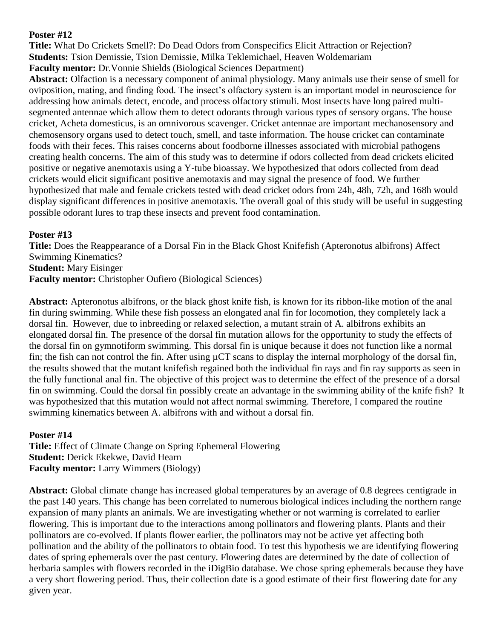**Title:** What Do Crickets Smell?: Do Dead Odors from Conspecifics Elicit Attraction or Rejection? **Students:** Tsion Demissie, Tsion Demissie, Milka Teklemichael, Heaven Woldemariam **Faculty mentor:** Dr.Vonnie Shields (Biological Sciences Department)

**Abstract:** Olfaction is a necessary component of animal physiology. Many animals use their sense of smell for oviposition, mating, and finding food. The insect's olfactory system is an important model in neuroscience for addressing how animals detect, encode, and process olfactory stimuli. Most insects have long paired multisegmented antennae which allow them to detect odorants through various types of sensory organs. The house cricket, Acheta domesticus, is an omnivorous scavenger. Cricket antennae are important mechanosensory and chemosensory organs used to detect touch, smell, and taste information. The house cricket can contaminate foods with their feces. This raises concerns about foodborne illnesses associated with microbial pathogens creating health concerns. The aim of this study was to determine if odors collected from dead crickets elicited positive or negative anemotaxis using a Y-tube bioassay. We hypothesized that odors collected from dead crickets would elicit significant positive anemotaxis and may signal the presence of food. We further hypothesized that male and female crickets tested with dead cricket odors from 24h, 48h, 72h, and 168h would display significant differences in positive anemotaxis. The overall goal of this study will be useful in suggesting possible odorant lures to trap these insects and prevent food contamination.

### **Poster #13**

**Title:** Does the Reappearance of a Dorsal Fin in the Black Ghost Knifefish (Apteronotus albifrons) Affect Swimming Kinematics? **Student:** Mary Eisinger **Faculty mentor:** Christopher Oufiero (Biological Sciences)

**Abstract:** Apteronotus albifrons, or the black ghost knife fish, is known for its ribbon-like motion of the anal fin during swimming. While these fish possess an elongated anal fin for locomotion, they completely lack a dorsal fin. However, due to inbreeding or relaxed selection, a mutant strain of A. albifrons exhibits an elongated dorsal fin. The presence of the dorsal fin mutation allows for the opportunity to study the effects of the dorsal fin on gymnotiform swimming. This dorsal fin is unique because it does not function like a normal fin; the fish can not control the fin. After using  $\mu$ CT scans to display the internal morphology of the dorsal fin, the results showed that the mutant knifefish regained both the individual fin rays and fin ray supports as seen in the fully functional anal fin. The objective of this project was to determine the effect of the presence of a dorsal fin on swimming. Could the dorsal fin possibly create an advantage in the swimming ability of the knife fish? It was hypothesized that this mutation would not affect normal swimming. Therefore, I compared the routine swimming kinematics between A. albifrons with and without a dorsal fin.

### **Poster #14**

**Title:** Effect of Climate Change on Spring Ephemeral Flowering **Student:** Derick Ekekwe, David Hearn **Faculty mentor:** Larry Wimmers (Biology)

**Abstract:** Global climate change has increased global temperatures by an average of 0.8 degrees centigrade in the past 140 years. This change has been correlated to numerous biological indices including the northern range expansion of many plants an animals. We are investigating whether or not warming is correlated to earlier flowering. This is important due to the interactions among pollinators and flowering plants. Plants and their pollinators are co-evolved. If plants flower earlier, the pollinators may not be active yet affecting both pollination and the ability of the pollinators to obtain food. To test this hypothesis we are identifying flowering dates of spring ephemerals over the past century. Flowering dates are determined by the date of collection of herbaria samples with flowers recorded in the iDigBio database. We chose spring ephemerals because they have a very short flowering period. Thus, their collection date is a good estimate of their first flowering date for any given year.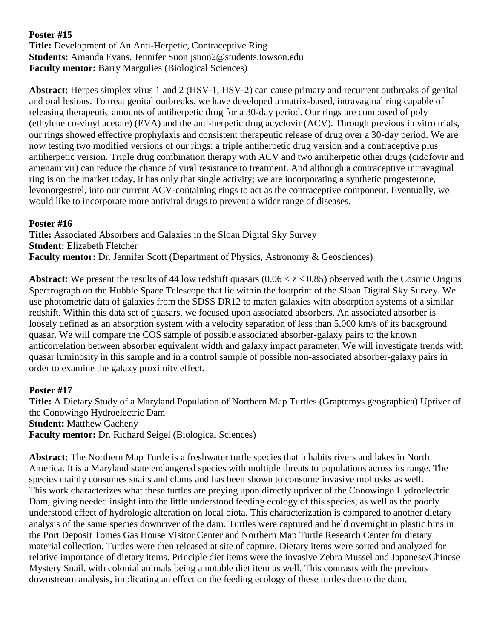**Title:** Development of An Anti-Herpetic, Contraceptive Ring **Students:** Amanda Evans, Jennifer Suon jsuon2@students.towson.edu **Faculty mentor:** Barry Margulies (Biological Sciences)

**Abstract:** Herpes simplex virus 1 and 2 (HSV-1, HSV-2) can cause primary and recurrent outbreaks of genital and oral lesions. To treat genital outbreaks, we have developed a matrix-based, intravaginal ring capable of releasing therapeutic amounts of antiherpetic drug for a 30-day period. Our rings are composed of poly (ethylene co-vinyl acetate) (EVA) and the anti-herpetic drug acyclovir (ACV). Through previous in vitro trials, our rings showed effective prophylaxis and consistent therapeutic release of drug over a 30-day period. We are now testing two modified versions of our rings: a triple antiherpetic drug version and a contraceptive plus antiherpetic version. Triple drug combination therapy with ACV and two antiherpetic other drugs (cidofovir and amenamivir) can reduce the chance of viral resistance to treatment. And although a contraceptive intravaginal ring is on the market today, it has only that single activity; we are incorporating a synthetic progesterone, levonorgestrel, into our current ACV-containing rings to act as the contraceptive component. Eventually, we would like to incorporate more antiviral drugs to prevent a wider range of diseases.

### **Poster #16**

**Title:** Associated Absorbers and Galaxies in the Sloan Digital Sky Survey **Student:** Elizabeth Fletcher **Faculty mentor:** Dr. Jennifer Scott (Department of Physics, Astronomy & Geosciences)

**Abstract:** We present the results of 44 low redshift quasars  $(0.06 < z < 0.85)$  observed with the Cosmic Origins Spectrograph on the Hubble Space Telescope that lie within the footprint of the Sloan Digital Sky Survey. We use photometric data of galaxies from the SDSS DR12 to match galaxies with absorption systems of a similar redshift. Within this data set of quasars, we focused upon associated absorbers. An associated absorber is loosely defined as an absorption system with a velocity separation of less than 5,000 km/s of its background quasar. We will compare the COS sample of possible associated absorber-galaxy pairs to the known anticorrelation between absorber equivalent width and galaxy impact parameter. We will investigate trends with quasar luminosity in this sample and in a control sample of possible non-associated absorber-galaxy pairs in order to examine the galaxy proximity effect.

### **Poster #17**

**Title:** A Dietary Study of a Maryland Population of Northern Map Turtles (Graptemys geographica) Upriver of the Conowingo Hydroelectric Dam **Student:** Matthew Gacheny **Faculty mentor:** Dr. Richard Seigel (Biological Sciences)

**Abstract:** The Northern Map Turtle is a freshwater turtle species that inhabits rivers and lakes in North America. It is a Maryland state endangered species with multiple threats to populations across its range. The species mainly consumes snails and clams and has been shown to consume invasive mollusks as well. This work characterizes what these turtles are preying upon directly upriver of the Conowingo Hydroelectric Dam, giving needed insight into the little understood feeding ecology of this species, as well as the poorly understood effect of hydrologic alteration on local biota. This characterization is compared to another dietary analysis of the same species downriver of the dam. Turtles were captured and held overnight in plastic bins in the Port Deposit Tomes Gas House Visitor Center and Northern Map Turtle Research Center for dietary material collection. Turtles were then released at site of capture. Dietary items were sorted and analyzed for relative importance of dietary items. Principle diet items were the invasive Zebra Mussel and Japanese/Chinese Mystery Snail, with colonial animals being a notable diet item as well. This contrasts with the previous downstream analysis, implicating an effect on the feeding ecology of these turtles due to the dam.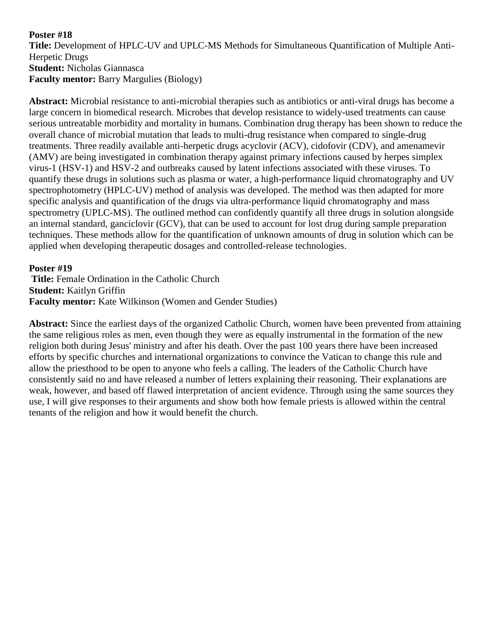**Title:** Development of HPLC-UV and UPLC-MS Methods for Simultaneous Quantification of Multiple Anti-Herpetic Drugs **Student:** Nicholas Giannasca **Faculty mentor:** Barry Margulies (Biology)

**Abstract:** Microbial resistance to anti-microbial therapies such as antibiotics or anti-viral drugs has become a large concern in biomedical research. Microbes that develop resistance to widely-used treatments can cause serious untreatable morbidity and mortality in humans. Combination drug therapy has been shown to reduce the overall chance of microbial mutation that leads to multi-drug resistance when compared to single-drug treatments. Three readily available anti-herpetic drugs acyclovir (ACV), cidofovir (CDV), and amenamevir (AMV) are being investigated in combination therapy against primary infections caused by herpes simplex virus-1 (HSV-1) and HSV-2 and outbreaks caused by latent infections associated with these viruses. To quantify these drugs in solutions such as plasma or water, a high-performance liquid chromatography and UV spectrophotometry (HPLC-UV) method of analysis was developed. The method was then adapted for more specific analysis and quantification of the drugs via ultra-performance liquid chromatography and mass spectrometry (UPLC-MS). The outlined method can confidently quantify all three drugs in solution alongside an internal standard, ganciclovir (GCV), that can be used to account for lost drug during sample preparation techniques. These methods allow for the quantification of unknown amounts of drug in solution which can be applied when developing therapeutic dosages and controlled-release technologies.

### **Poster #19**

**Title:** Female Ordination in the Catholic Church **Student:** Kaitlyn Griffin **Faculty mentor:** Kate Wilkinson (Women and Gender Studies)

**Abstract:** Since the earliest days of the organized Catholic Church, women have been prevented from attaining the same religious roles as men, even though they were as equally instrumental in the formation of the new religion both during Jesus' ministry and after his death. Over the past 100 years there have been increased efforts by specific churches and international organizations to convince the Vatican to change this rule and allow the priesthood to be open to anyone who feels a calling. The leaders of the Catholic Church have consistently said no and have released a number of letters explaining their reasoning. Their explanations are weak, however, and based off flawed interpretation of ancient evidence. Through using the same sources they use, I will give responses to their arguments and show both how female priests is allowed within the central tenants of the religion and how it would benefit the church.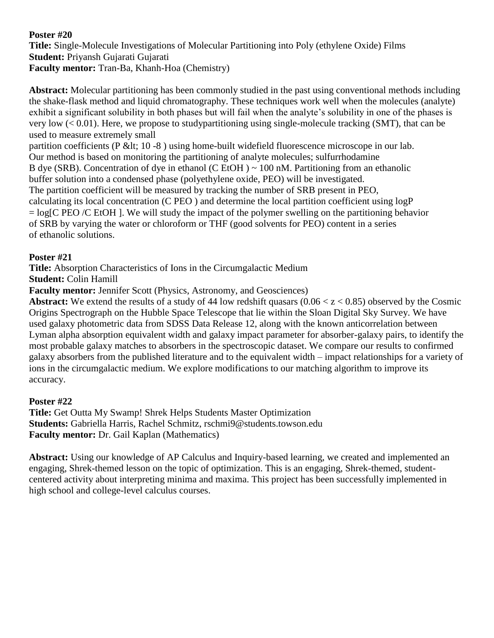**Title:** Single-Molecule Investigations of Molecular Partitioning into Poly (ethylene Oxide) Films **Student:** Priyansh Gujarati Gujarati **Faculty mentor:** Tran-Ba, Khanh-Hoa (Chemistry)

**Abstract:** Molecular partitioning has been commonly studied in the past using conventional methods including the shake-flask method and liquid chromatography. These techniques work well when the molecules (analyte) exhibit a significant solubility in both phases but will fail when the analyte's solubility in one of the phases is very low  $(< 0.01$ ). Here, we propose to studypartitioning using single-molecule tracking (SMT), that can be used to measure extremely small

partition coefficients (P &It; 10 -8) using home-built widefield fluorescence microscope in our lab. Our method is based on monitoring the partitioning of analyte molecules; sulfurrhodamine B dye (SRB). Concentration of dye in ethanol (C EtOH)  $\sim$  100 nM. Partitioning from an ethanolic buffer solution into a condensed phase (polyethylene oxide, PEO) will be investigated. The partition coefficient will be measured by tracking the number of SRB present in PEO, calculating its local concentration (C PEO ) and determine the local partition coefficient using logP  $=$  log[C PEO /C EtOH ]. We will study the impact of the polymer swelling on the partitioning behavior of SRB by varying the water or chloroform or THF (good solvents for PEO) content in a series of ethanolic solutions.

# **Poster #21**

**Title:** Absorption Characteristics of Ions in the Circumgalactic Medium

**Student:** Colin Hamill

**Faculty mentor:** Jennifer Scott (Physics, Astronomy, and Geosciences)

**Abstract:** We extend the results of a study of 44 low redshift quasars  $(0.06 < z < 0.85)$  observed by the Cosmic Origins Spectrograph on the Hubble Space Telescope that lie within the Sloan Digital Sky Survey. We have used galaxy photometric data from SDSS Data Release 12, along with the known anticorrelation between Lyman alpha absorption equivalent width and galaxy impact parameter for absorber-galaxy pairs, to identify the most probable galaxy matches to absorbers in the spectroscopic dataset. We compare our results to confirmed galaxy absorbers from the published literature and to the equivalent width – impact relationships for a variety of ions in the circumgalactic medium. We explore modifications to our matching algorithm to improve its accuracy.

### **Poster #22**

**Title:** Get Outta My Swamp! Shrek Helps Students Master Optimization **Students:** Gabriella Harris, Rachel Schmitz, rschmi9@students.towson.edu **Faculty mentor:** Dr. Gail Kaplan (Mathematics)

**Abstract:** Using our knowledge of AP Calculus and Inquiry-based learning, we created and implemented an engaging, Shrek-themed lesson on the topic of optimization. This is an engaging, Shrek-themed, studentcentered activity about interpreting minima and maxima. This project has been successfully implemented in high school and college-level calculus courses.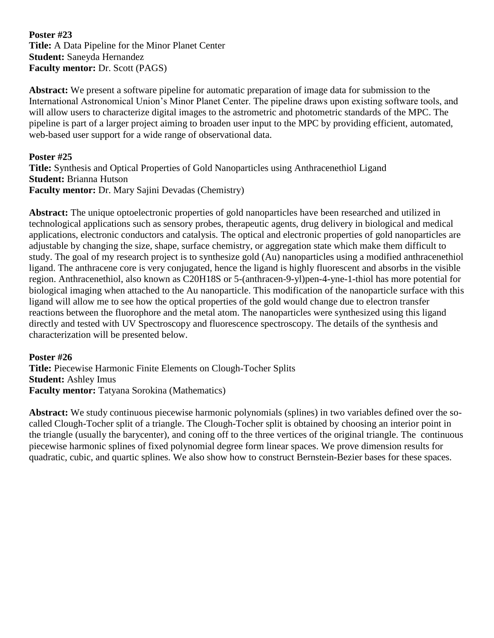**Poster #23 Title:** A Data Pipeline for the Minor Planet Center **Student:** Saneyda Hernandez **Faculty mentor:** Dr. Scott (PAGS)

**Abstract:** We present a software pipeline for automatic preparation of image data for submission to the International Astronomical Union's Minor Planet Center. The pipeline draws upon existing software tools, and will allow users to characterize digital images to the astrometric and photometric standards of the MPC. The pipeline is part of a larger project aiming to broaden user input to the MPC by providing efficient, automated, web-based user support for a wide range of observational data.

#### **Poster #25**

**Title:** Synthesis and Optical Properties of Gold Nanoparticles using Anthracenethiol Ligand **Student:** Brianna Hutson **Faculty mentor:** Dr. Mary Sajini Devadas (Chemistry)

**Abstract:** The unique optoelectronic properties of gold nanoparticles have been researched and utilized in technological applications such as sensory probes, therapeutic agents, drug delivery in biological and medical applications, electronic conductors and catalysis. The optical and electronic properties of gold nanoparticles are adjustable by changing the size, shape, surface chemistry, or aggregation state which make them difficult to study. The goal of my research project is to synthesize gold (Au) nanoparticles using a modified anthracenethiol ligand. The anthracene core is very conjugated, hence the ligand is highly fluorescent and absorbs in the visible region. Anthracenethiol, also known as C20H18S or 5-(anthracen-9-yl)pen-4-yne-1-thiol has more potential for biological imaging when attached to the Au nanoparticle. This modification of the nanoparticle surface with this ligand will allow me to see how the optical properties of the gold would change due to electron transfer reactions between the fluorophore and the metal atom. The nanoparticles were synthesized using this ligand directly and tested with UV Spectroscopy and fluorescence spectroscopy. The details of the synthesis and characterization will be presented below.

#### **Poster #26**

**Title:** Piecewise Harmonic Finite Elements on Clough-Tocher Splits **Student:** Ashley Imus **Faculty mentor:** Tatyana Sorokina (Mathematics)

**Abstract:** We study continuous piecewise harmonic polynomials (splines) in two variables defined over the socalled Clough-Tocher split of a triangle. The Clough-Tocher split is obtained by choosing an interior point in the triangle (usually the barycenter), and coning off to the three vertices of the original triangle. The continuous piecewise harmonic splines of fixed polynomial degree form linear spaces. We prove dimension results for quadratic, cubic, and quartic splines. We also show how to construct Bernstein-Bezier bases for these spaces.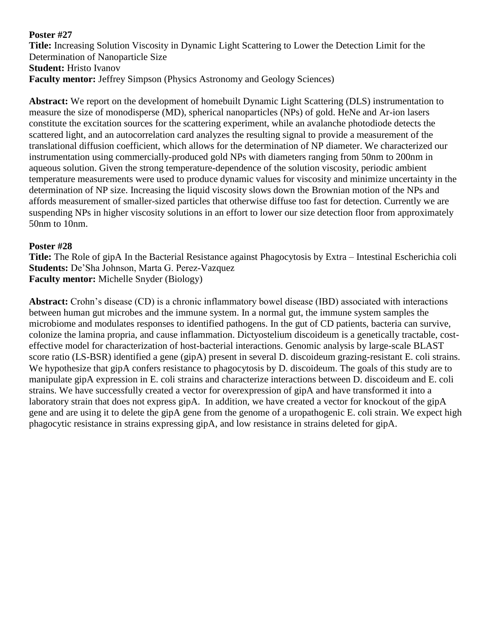**Title:** Increasing Solution Viscosity in Dynamic Light Scattering to Lower the Detection Limit for the Determination of Nanoparticle Size **Student: Hristo Ivanov Faculty mentor:** Jeffrey Simpson (Physics Astronomy and Geology Sciences)

**Abstract:** We report on the development of homebuilt Dynamic Light Scattering (DLS) instrumentation to measure the size of monodisperse (MD), spherical nanoparticles (NPs) of gold. HeNe and Ar-ion lasers constitute the excitation sources for the scattering experiment, while an avalanche photodiode detects the scattered light, and an autocorrelation card analyzes the resulting signal to provide a measurement of the translational diffusion coefficient, which allows for the determination of NP diameter. We characterized our instrumentation using commercially-produced gold NPs with diameters ranging from 50nm to 200nm in aqueous solution. Given the strong temperature-dependence of the solution viscosity, periodic ambient temperature measurements were used to produce dynamic values for viscosity and minimize uncertainty in the determination of NP size. Increasing the liquid viscosity slows down the Brownian motion of the NPs and affords measurement of smaller-sized particles that otherwise diffuse too fast for detection. Currently we are suspending NPs in higher viscosity solutions in an effort to lower our size detection floor from approximately 50nm to 10nm.

### **Poster #28**

**Title:** The Role of gipA In the Bacterial Resistance against Phagocytosis by Extra – Intestinal Escherichia coli **Students:** De'Sha Johnson, Marta G. Perez-Vazquez **Faculty mentor:** Michelle Snyder (Biology)

**Abstract:** Crohn's disease (CD) is a chronic inflammatory bowel disease (IBD) associated with interactions between human gut microbes and the immune system. In a normal gut, the immune system samples the microbiome and modulates responses to identified pathogens. In the gut of CD patients, bacteria can survive, colonize the lamina propria, and cause inflammation. Dictyostelium discoideum is a genetically tractable, costeffective model for characterization of host-bacterial interactions. Genomic analysis by large-scale BLAST score ratio (LS-BSR) identified a gene (gipA) present in several D. discoideum grazing-resistant E. coli strains. We hypothesize that gipA confers resistance to phagocytosis by D. discoideum. The goals of this study are to manipulate gipA expression in E. coli strains and characterize interactions between D. discoideum and E. coli strains. We have successfully created a vector for overexpression of gipA and have transformed it into a laboratory strain that does not express gipA. In addition, we have created a vector for knockout of the gipA gene and are using it to delete the gipA gene from the genome of a uropathogenic E. coli strain. We expect high phagocytic resistance in strains expressing gipA, and low resistance in strains deleted for gipA.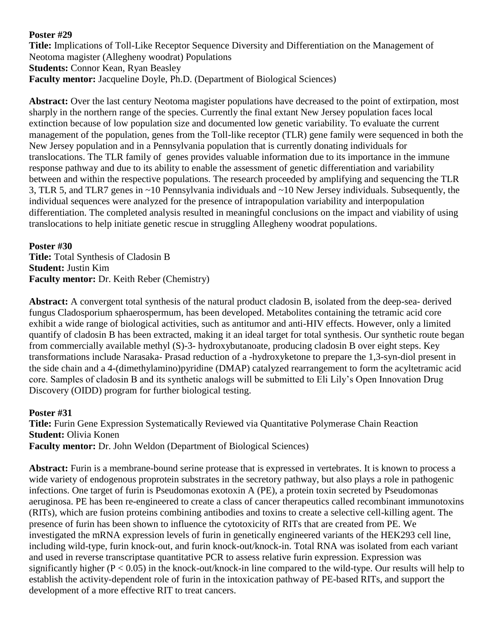**Title:** Implications of Toll-Like Receptor Sequence Diversity and Differentiation on the Management of Neotoma magister (Allegheny woodrat) Populations **Students:** Connor Kean, Ryan Beasley **Faculty mentor:** Jacqueline Doyle, Ph.D. (Department of Biological Sciences)

**Abstract:** Over the last century Neotoma magister populations have decreased to the point of extirpation, most sharply in the northern range of the species. Currently the final extant New Jersey population faces local extinction because of low population size and documented low genetic variability. To evaluate the current management of the population, genes from the Toll-like receptor (TLR) gene family were sequenced in both the New Jersey population and in a Pennsylvania population that is currently donating individuals for translocations. The TLR family of genes provides valuable information due to its importance in the immune response pathway and due to its ability to enable the assessment of genetic differentiation and variability between and within the respective populations. The research proceeded by amplifying and sequencing the TLR 3, TLR 5, and TLR7 genes in ~10 Pennsylvania individuals and ~10 New Jersey individuals. Subsequently, the individual sequences were analyzed for the presence of intrapopulation variability and interpopulation differentiation. The completed analysis resulted in meaningful conclusions on the impact and viability of using translocations to help initiate genetic rescue in struggling Allegheny woodrat populations.

**Poster #30 Title:** Total Synthesis of Cladosin B **Student:** Justin Kim **Faculty mentor:** Dr. Keith Reber (Chemistry)

**Abstract:** A convergent total synthesis of the natural product cladosin B, isolated from the deep-sea- derived fungus Cladosporium sphaerospermum, has been developed. Metabolites containing the tetramic acid core exhibit a wide range of biological activities, such as antitumor and anti-HIV effects. However, only a limited quantify of cladosin B has been extracted, making it an ideal target for total synthesis. Our synthetic route began from commercially available methyl (S)-3- hydroxybutanoate, producing cladosin B over eight steps. Key transformations include Narasaka- Prasad reduction of a -hydroxyketone to prepare the 1,3-syn-diol present in the side chain and a 4-(dimethylamino)pyridine (DMAP) catalyzed rearrangement to form the acyltetramic acid core. Samples of cladosin B and its synthetic analogs will be submitted to Eli Lily's Open Innovation Drug Discovery (OIDD) program for further biological testing.

#### **Poster #31**

**Title:** Furin Gene Expression Systematically Reviewed via Quantitative Polymerase Chain Reaction **Student:** Olivia Konen **Faculty mentor:** Dr. John Weldon (Department of Biological Sciences)

Abstract: Furin is a membrane-bound serine protease that is expressed in vertebrates. It is known to process a wide variety of endogenous proprotein substrates in the secretory pathway, but also plays a role in pathogenic infections. One target of furin is Pseudomonas exotoxin A (PE), a protein toxin secreted by Pseudomonas aeruginosa. PE has been re-engineered to create a class of cancer therapeutics called recombinant immunotoxins (RITs), which are fusion proteins combining antibodies and toxins to create a selective cell-killing agent. The presence of furin has been shown to influence the cytotoxicity of RITs that are created from PE. We investigated the mRNA expression levels of furin in genetically engineered variants of the HEK293 cell line, including wild-type, furin knock-out, and furin knock-out/knock-in. Total RNA was isolated from each variant and used in reverse transcriptase quantitative PCR to assess relative furin expression. Expression was significantly higher ( $P < 0.05$ ) in the knock-out/knock-in line compared to the wild-type. Our results will help to establish the activity-dependent role of furin in the intoxication pathway of PE-based RITs, and support the development of a more effective RIT to treat cancers.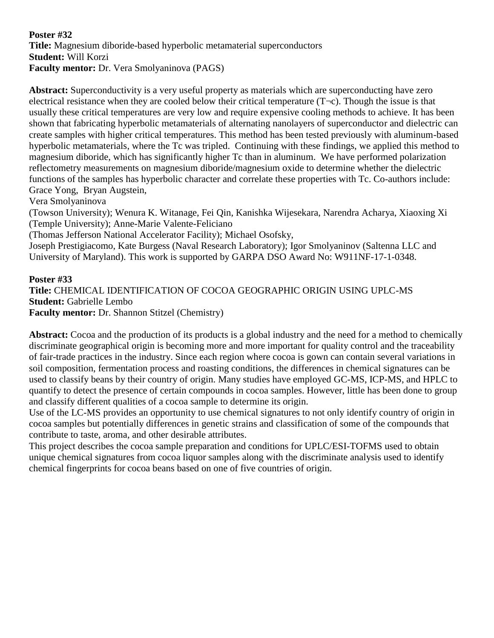### **Poster #32 Title:** Magnesium diboride-based hyperbolic metamaterial superconductors **Student:** Will Korzi **Faculty mentor:** Dr. Vera Smolyaninova (PAGS)

**Abstract:** Superconductivity is a very useful property as materials which are superconducting have zero electrical resistance when they are cooled below their critical temperature  $(T\neg c)$ . Though the issue is that usually these critical temperatures are very low and require expensive cooling methods to achieve. It has been shown that fabricating hyperbolic metamaterials of alternating nanolayers of superconductor and dielectric can create samples with higher critical temperatures. This method has been tested previously with aluminum-based hyperbolic metamaterials, where the Tc was tripled. Continuing with these findings, we applied this method to magnesium diboride, which has significantly higher Tc than in aluminum. We have performed polarization reflectometry measurements on magnesium diboride/magnesium oxide to determine whether the dielectric functions of the samples has hyperbolic character and correlate these properties with Tc. Co-authors include: Grace Yong, Bryan Augstein,

Vera Smolyaninova

(Towson University); Wenura K. Witanage, Fei Qin, Kanishka Wijesekara, Narendra Acharya, Xiaoxing Xi (Temple University); Anne-Marie Valente-Feliciano

(Thomas Jefferson National Accelerator Facility); Michael Osofsky,

Joseph Prestigiacomo, Kate Burgess (Naval Research Laboratory); Igor Smolyaninov (Saltenna LLC and University of Maryland). This work is supported by GARPA DSO Award No: W911NF-17-1-0348.

**Poster #33**

**Title:** CHEMICAL IDENTIFICATION OF COCOA GEOGRAPHIC ORIGIN USING UPLC-MS **Student:** Gabrielle Lembo

**Faculty mentor:** Dr. Shannon Stitzel (Chemistry)

Abstract: Cocoa and the production of its products is a global industry and the need for a method to chemically discriminate geographical origin is becoming more and more important for quality control and the traceability of fair-trade practices in the industry. Since each region where cocoa is gown can contain several variations in soil composition, fermentation process and roasting conditions, the differences in chemical signatures can be used to classify beans by their country of origin. Many studies have employed GC-MS, ICP-MS, and HPLC to quantify to detect the presence of certain compounds in cocoa samples. However, little has been done to group and classify different qualities of a cocoa sample to determine its origin.

Use of the LC-MS provides an opportunity to use chemical signatures to not only identify country of origin in cocoa samples but potentially differences in genetic strains and classification of some of the compounds that contribute to taste, aroma, and other desirable attributes.

This project describes the cocoa sample preparation and conditions for UPLC/ESI-TOFMS used to obtain unique chemical signatures from cocoa liquor samples along with the discriminate analysis used to identify chemical fingerprints for cocoa beans based on one of five countries of origin.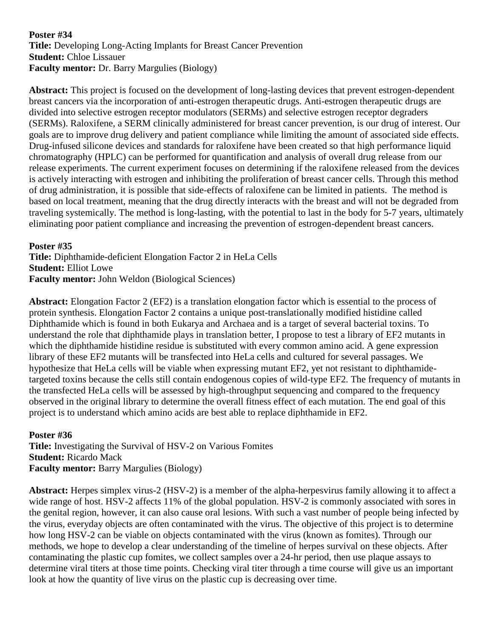### **Poster #34 Title:** Developing Long-Acting Implants for Breast Cancer Prevention **Student:** Chloe Lissauer **Faculty mentor:** Dr. Barry Margulies (Biology)

**Abstract:** This project is focused on the development of long-lasting devices that prevent estrogen-dependent breast cancers via the incorporation of anti-estrogen therapeutic drugs. Anti-estrogen therapeutic drugs are divided into selective estrogen receptor modulators (SERMs) and selective estrogen receptor degraders (SERMs). Raloxifene, a SERM clinically administered for breast cancer prevention, is our drug of interest. Our goals are to improve drug delivery and patient compliance while limiting the amount of associated side effects. Drug-infused silicone devices and standards for raloxifene have been created so that high performance liquid chromatography (HPLC) can be performed for quantification and analysis of overall drug release from our release experiments. The current experiment focuses on determining if the raloxifene released from the devices is actively interacting with estrogen and inhibiting the proliferation of breast cancer cells. Through this method of drug administration, it is possible that side-effects of raloxifene can be limited in patients. The method is based on local treatment, meaning that the drug directly interacts with the breast and will not be degraded from traveling systemically. The method is long-lasting, with the potential to last in the body for 5-7 years, ultimately eliminating poor patient compliance and increasing the prevention of estrogen-dependent breast cancers.

**Poster #35**

**Title:** Diphthamide-deficient Elongation Factor 2 in HeLa Cells **Student:** Elliot Lowe **Faculty mentor:** John Weldon (Biological Sciences)

**Abstract:** Elongation Factor 2 (EF2) is a translation elongation factor which is essential to the process of protein synthesis. Elongation Factor 2 contains a unique post-translationally modified histidine called Diphthamide which is found in both Eukarya and Archaea and is a target of several bacterial toxins. To understand the role that diphthamide plays in translation better, I propose to test a library of EF2 mutants in which the diphthamide histidine residue is substituted with every common amino acid. A gene expression library of these EF2 mutants will be transfected into HeLa cells and cultured for several passages. We hypothesize that HeLa cells will be viable when expressing mutant EF2, yet not resistant to diphthamidetargeted toxins because the cells still contain endogenous copies of wild-type EF2. The frequency of mutants in the transfected HeLa cells will be assessed by high-throughput sequencing and compared to the frequency observed in the original library to determine the overall fitness effect of each mutation. The end goal of this project is to understand which amino acids are best able to replace diphthamide in EF2.

### **Poster #36**

**Title:** Investigating the Survival of HSV-2 on Various Fomites **Student:** Ricardo Mack **Faculty mentor:** Barry Margulies (Biology)

**Abstract:** Herpes simplex virus-2 (HSV-2) is a member of the alpha-herpesvirus family allowing it to affect a wide range of host. HSV-2 affects 11% of the global population. HSV-2 is commonly associated with sores in the genital region, however, it can also cause oral lesions. With such a vast number of people being infected by the virus, everyday objects are often contaminated with the virus. The objective of this project is to determine how long HSV-2 can be viable on objects contaminated with the virus (known as fomites). Through our methods, we hope to develop a clear understanding of the timeline of herpes survival on these objects. After contaminating the plastic cup fomites, we collect samples over a 24-hr period, then use plaque assays to determine viral titers at those time points. Checking viral titer through a time course will give us an important look at how the quantity of live virus on the plastic cup is decreasing over time.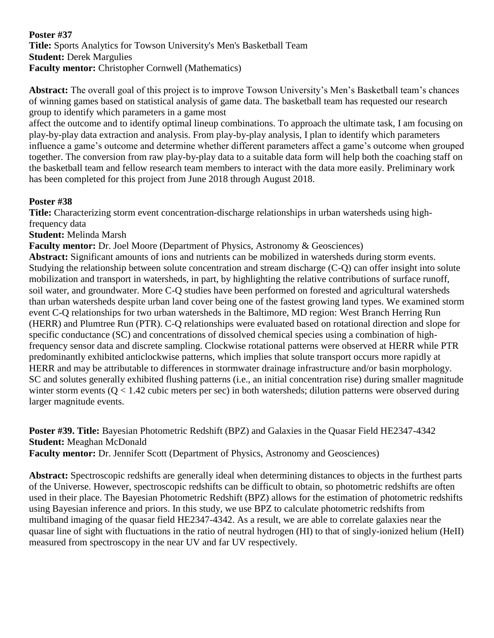**Title:** Sports Analytics for Towson University's Men's Basketball Team **Student: Derek Margulies Faculty mentor:** Christopher Cornwell (Mathematics)

**Abstract:** The overall goal of this project is to improve Towson University's Men's Basketball team's chances of winning games based on statistical analysis of game data. The basketball team has requested our research group to identify which parameters in a game most

affect the outcome and to identify optimal lineup combinations. To approach the ultimate task, I am focusing on play-by-play data extraction and analysis. From play-by-play analysis, I plan to identify which parameters influence a game's outcome and determine whether different parameters affect a game's outcome when grouped together. The conversion from raw play-by-play data to a suitable data form will help both the coaching staff on the basketball team and fellow research team members to interact with the data more easily. Preliminary work has been completed for this project from June 2018 through August 2018.

### **Poster #38**

**Title:** Characterizing storm event concentration-discharge relationships in urban watersheds using highfrequency data

**Student:** Melinda Marsh

**Faculty mentor:** Dr. Joel Moore (Department of Physics, Astronomy & Geosciences)

**Abstract:** Significant amounts of ions and nutrients can be mobilized in watersheds during storm events. Studying the relationship between solute concentration and stream discharge (C-Q) can offer insight into solute mobilization and transport in watersheds, in part, by highlighting the relative contributions of surface runoff, soil water, and groundwater. More C-Q studies have been performed on forested and agricultural watersheds than urban watersheds despite urban land cover being one of the fastest growing land types. We examined storm event C-Q relationships for two urban watersheds in the Baltimore, MD region: West Branch Herring Run (HERR) and Plumtree Run (PTR). C-Q relationships were evaluated based on rotational direction and slope for specific conductance (SC) and concentrations of dissolved chemical species using a combination of highfrequency sensor data and discrete sampling. Clockwise rotational patterns were observed at HERR while PTR predominantly exhibited anticlockwise patterns, which implies that solute transport occurs more rapidly at HERR and may be attributable to differences in stormwater drainage infrastructure and/or basin morphology. SC and solutes generally exhibited flushing patterns (i.e., an initial concentration rise) during smaller magnitude winter storm events (Q < 1.42 cubic meters per sec) in both watersheds; dilution patterns were observed during larger magnitude events.

# **Poster #39. Title:** Bayesian Photometric Redshift (BPZ) and Galaxies in the Quasar Field HE2347-4342 **Student:** Meaghan McDonald

**Faculty mentor:** Dr. Jennifer Scott (Department of Physics, Astronomy and Geosciences)

**Abstract:** Spectroscopic redshifts are generally ideal when determining distances to objects in the furthest parts of the Universe. However, spectroscopic redshifts can be difficult to obtain, so photometric redshifts are often used in their place. The Bayesian Photometric Redshift (BPZ) allows for the estimation of photometric redshifts using Bayesian inference and priors. In this study, we use BPZ to calculate photometric redshifts from multiband imaging of the quasar field HE2347-4342. As a result, we are able to correlate galaxies near the quasar line of sight with fluctuations in the ratio of neutral hydrogen (HI) to that of singly-ionized helium (HeII) measured from spectroscopy in the near UV and far UV respectively.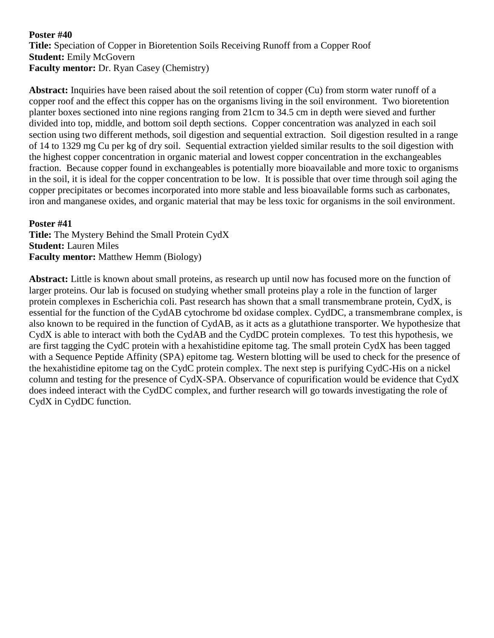**Title:** Speciation of Copper in Bioretention Soils Receiving Runoff from a Copper Roof **Student:** Emily McGovern **Faculty mentor:** Dr. Ryan Casey (Chemistry)

**Abstract:** Inquiries have been raised about the soil retention of copper (Cu) from storm water runoff of a copper roof and the effect this copper has on the organisms living in the soil environment. Two bioretention planter boxes sectioned into nine regions ranging from 21cm to 34.5 cm in depth were sieved and further divided into top, middle, and bottom soil depth sections. Copper concentration was analyzed in each soil section using two different methods, soil digestion and sequential extraction. Soil digestion resulted in a range of 14 to 1329 mg Cu per kg of dry soil. Sequential extraction yielded similar results to the soil digestion with the highest copper concentration in organic material and lowest copper concentration in the exchangeables fraction. Because copper found in exchangeables is potentially more bioavailable and more toxic to organisms in the soil, it is ideal for the copper concentration to be low. It is possible that over time through soil aging the copper precipitates or becomes incorporated into more stable and less bioavailable forms such as carbonates, iron and manganese oxides, and organic material that may be less toxic for organisms in the soil environment.

#### **Poster #41**

**Title:** The Mystery Behind the Small Protein CydX **Student:** Lauren Miles **Faculty mentor:** Matthew Hemm (Biology)

**Abstract:** Little is known about small proteins, as research up until now has focused more on the function of larger proteins. Our lab is focused on studying whether small proteins play a role in the function of larger protein complexes in Escherichia coli. Past research has shown that a small transmembrane protein, CydX, is essential for the function of the CydAB cytochrome bd oxidase complex. CydDC, a transmembrane complex, is also known to be required in the function of CydAB, as it acts as a glutathione transporter. We hypothesize that CydX is able to interact with both the CydAB and the CydDC protein complexes. To test this hypothesis, we are first tagging the CydC protein with a hexahistidine epitome tag. The small protein CydX has been tagged with a Sequence Peptide Affinity (SPA) epitome tag. Western blotting will be used to check for the presence of the hexahistidine epitome tag on the CydC protein complex. The next step is purifying CydC-His on a nickel column and testing for the presence of CydX-SPA. Observance of copurification would be evidence that CydX does indeed interact with the CydDC complex, and further research will go towards investigating the role of CydX in CydDC function.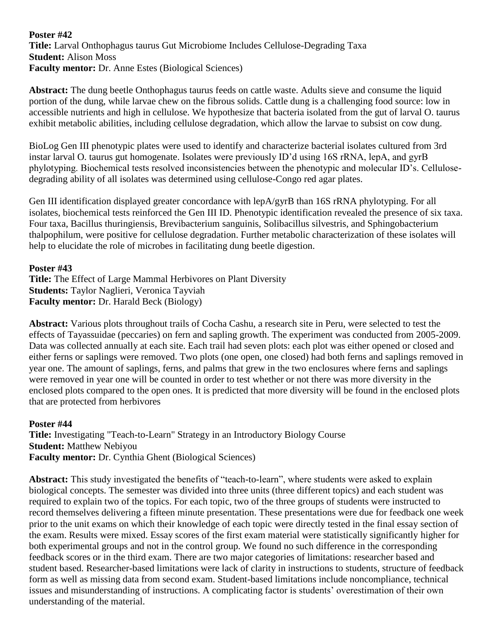### **Poster #42 Title:** Larval Onthophagus taurus Gut Microbiome Includes Cellulose-Degrading Taxa **Student:** Alison Moss **Faculty mentor:** Dr. Anne Estes (Biological Sciences)

**Abstract:** The dung beetle Onthophagus taurus feeds on cattle waste. Adults sieve and consume the liquid portion of the dung, while larvae chew on the fibrous solids. Cattle dung is a challenging food source: low in accessible nutrients and high in cellulose. We hypothesize that bacteria isolated from the gut of larval O. taurus exhibit metabolic abilities, including cellulose degradation, which allow the larvae to subsist on cow dung.

BioLog Gen III phenotypic plates were used to identify and characterize bacterial isolates cultured from 3rd instar larval O. taurus gut homogenate. Isolates were previously ID'd using 16S rRNA, lepA, and gyrB phylotyping. Biochemical tests resolved inconsistencies between the phenotypic and molecular ID's. Cellulosedegrading ability of all isolates was determined using cellulose-Congo red agar plates.

Gen III identification displayed greater concordance with lepA/gyrB than 16S rRNA phylotyping. For all isolates, biochemical tests reinforced the Gen III ID. Phenotypic identification revealed the presence of six taxa. Four taxa, Bacillus thuringiensis, Brevibacterium sanguinis, Solibacillus silvestris, and Sphingobacterium thalpophilum, were positive for cellulose degradation. Further metabolic characterization of these isolates will help to elucidate the role of microbes in facilitating dung beetle digestion.

### **Poster #43**

**Title:** The Effect of Large Mammal Herbivores on Plant Diversity **Students:** Taylor Naglieri, Veronica Tayviah **Faculty mentor:** Dr. Harald Beck (Biology)

**Abstract:** Various plots throughout trails of Cocha Cashu, a research site in Peru, were selected to test the effects of Tayassuidae (peccaries) on fern and sapling growth. The experiment was conducted from 2005-2009. Data was collected annually at each site. Each trail had seven plots: each plot was either opened or closed and either ferns or saplings were removed. Two plots (one open, one closed) had both ferns and saplings removed in year one. The amount of saplings, ferns, and palms that grew in the two enclosures where ferns and saplings were removed in year one will be counted in order to test whether or not there was more diversity in the enclosed plots compared to the open ones. It is predicted that more diversity will be found in the enclosed plots that are protected from herbivores

**Poster #44 Title:** Investigating "Teach-to-Learn" Strategy in an Introductory Biology Course **Student:** Matthew Nebiyou **Faculty mentor:** Dr. Cynthia Ghent (Biological Sciences)

**Abstract:** This study investigated the benefits of "teach-to-learn", where students were asked to explain biological concepts. The semester was divided into three units (three different topics) and each student was required to explain two of the topics. For each topic, two of the three groups of students were instructed to record themselves delivering a fifteen minute presentation. These presentations were due for feedback one week prior to the unit exams on which their knowledge of each topic were directly tested in the final essay section of the exam. Results were mixed. Essay scores of the first exam material were statistically significantly higher for both experimental groups and not in the control group. We found no such difference in the corresponding feedback scores or in the third exam. There are two major categories of limitations: researcher based and student based. Researcher-based limitations were lack of clarity in instructions to students, structure of feedback form as well as missing data from second exam. Student-based limitations include noncompliance, technical issues and misunderstanding of instructions. A complicating factor is students' overestimation of their own understanding of the material.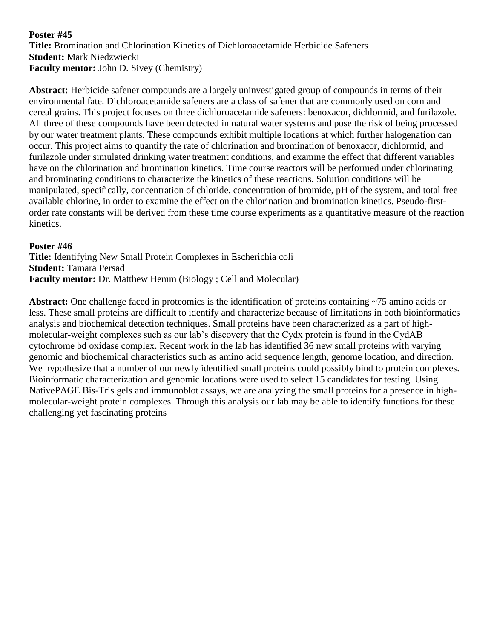**Title:** Bromination and Chlorination Kinetics of Dichloroacetamide Herbicide Safeners **Student:** Mark Niedzwiecki **Faculty mentor:** John D. Sivey (Chemistry)

**Abstract:** Herbicide safener compounds are a largely uninvestigated group of compounds in terms of their environmental fate. Dichloroacetamide safeners are a class of safener that are commonly used on corn and cereal grains. This project focuses on three dichloroacetamide safeners: benoxacor, dichlormid, and furilazole. All three of these compounds have been detected in natural water systems and pose the risk of being processed by our water treatment plants. These compounds exhibit multiple locations at which further halogenation can occur. This project aims to quantify the rate of chlorination and bromination of benoxacor, dichlormid, and furilazole under simulated drinking water treatment conditions, and examine the effect that different variables have on the chlorination and bromination kinetics. Time course reactors will be performed under chlorinating and brominating conditions to characterize the kinetics of these reactions. Solution conditions will be manipulated, specifically, concentration of chloride, concentration of bromide, pH of the system, and total free available chlorine, in order to examine the effect on the chlorination and bromination kinetics. Pseudo-firstorder rate constants will be derived from these time course experiments as a quantitative measure of the reaction kinetics.

#### **Poster #46**

**Title:** Identifying New Small Protein Complexes in Escherichia coli **Student:** Tamara Persad **Faculty mentor:** Dr. Matthew Hemm (Biology ; Cell and Molecular)

**Abstract:** One challenge faced in proteomics is the identification of proteins containing ~75 amino acids or less. These small proteins are difficult to identify and characterize because of limitations in both bioinformatics analysis and biochemical detection techniques. Small proteins have been characterized as a part of highmolecular-weight complexes such as our lab's discovery that the Cydx protein is found in the CydAB cytochrome bd oxidase complex. Recent work in the lab has identified 36 new small proteins with varying genomic and biochemical characteristics such as amino acid sequence length, genome location, and direction. We hypothesize that a number of our newly identified small proteins could possibly bind to protein complexes. Bioinformatic characterization and genomic locations were used to select 15 candidates for testing. Using NativePAGE Bis-Tris gels and immunoblot assays, we are analyzing the small proteins for a presence in highmolecular-weight protein complexes. Through this analysis our lab may be able to identify functions for these challenging yet fascinating proteins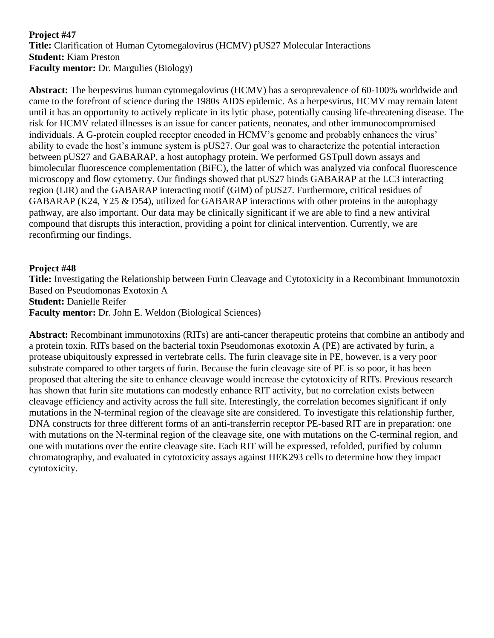### **Project #47 Title:** Clarification of Human Cytomegalovirus (HCMV) pUS27 Molecular Interactions **Student:** Kiam Preston **Faculty mentor:** Dr. Margulies (Biology)

**Abstract:** The herpesvirus human cytomegalovirus (HCMV) has a seroprevalence of 60-100% worldwide and came to the forefront of science during the 1980s AIDS epidemic. As a herpesvirus, HCMV may remain latent until it has an opportunity to actively replicate in its lytic phase, potentially causing life-threatening disease. The risk for HCMV related illnesses is an issue for cancer patients, neonates, and other immunocompromised individuals. A G-protein coupled receptor encoded in HCMV's genome and probably enhances the virus' ability to evade the host's immune system is pUS27. Our goal was to characterize the potential interaction between pUS27 and GABARAP, a host autophagy protein. We performed GSTpull down assays and bimolecular fluorescence complementation (BiFC), the latter of which was analyzed via confocal fluorescence microscopy and flow cytometry. Our findings showed that pUS27 binds GABARAP at the LC3 interacting region (LIR) and the GABARAP interacting motif (GIM) of pUS27. Furthermore, critical residues of GABARAP (K24, Y25 & D54), utilized for GABARAP interactions with other proteins in the autophagy pathway, are also important. Our data may be clinically significant if we are able to find a new antiviral compound that disrupts this interaction, providing a point for clinical intervention. Currently, we are reconfirming our findings.

### **Project #48**

**Title:** Investigating the Relationship between Furin Cleavage and Cytotoxicity in a Recombinant Immunotoxin Based on Pseudomonas Exotoxin A **Student:** Danielle Reifer

**Faculty mentor:** Dr. John E. Weldon (Biological Sciences)

**Abstract:** Recombinant immunotoxins (RITs) are anti-cancer therapeutic proteins that combine an antibody and a protein toxin. RITs based on the bacterial toxin Pseudomonas exotoxin A (PE) are activated by furin, a protease ubiquitously expressed in vertebrate cells. The furin cleavage site in PE, however, is a very poor substrate compared to other targets of furin. Because the furin cleavage site of PE is so poor, it has been proposed that altering the site to enhance cleavage would increase the cytotoxicity of RITs. Previous research has shown that furin site mutations can modestly enhance RIT activity, but no correlation exists between cleavage efficiency and activity across the full site. Interestingly, the correlation becomes significant if only mutations in the N-terminal region of the cleavage site are considered. To investigate this relationship further, DNA constructs for three different forms of an anti-transferrin receptor PE-based RIT are in preparation: one with mutations on the N-terminal region of the cleavage site, one with mutations on the C-terminal region, and one with mutations over the entire cleavage site. Each RIT will be expressed, refolded, purified by column chromatography, and evaluated in cytotoxicity assays against HEK293 cells to determine how they impact cytotoxicity.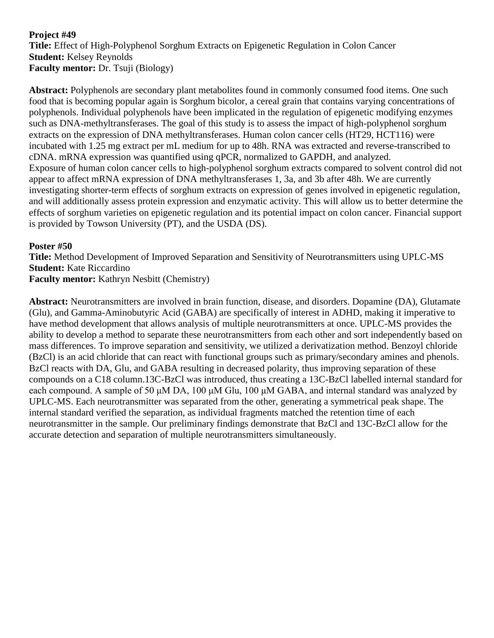### **Project #49 Title:** Effect of High-Polyphenol Sorghum Extracts on Epigenetic Regulation in Colon Cancer **Student:** Kelsey Reynolds **Faculty mentor:** Dr. Tsuji (Biology)

**Abstract:** Polyphenols are secondary plant metabolites found in commonly consumed food items. One such food that is becoming popular again is Sorghum bicolor, a cereal grain that contains varying concentrations of polyphenols. Individual polyphenols have been implicated in the regulation of epigenetic modifying enzymes such as DNA-methyltransferases. The goal of this study is to assess the impact of high-polyphenol sorghum extracts on the expression of DNA methyltransferases. Human colon cancer cells (HT29, HCT116) were incubated with 1.25 mg extract per mL medium for up to 48h. RNA was extracted and reverse-transcribed to cDNA. mRNA expression was quantified using qPCR, normalized to GAPDH, and analyzed. Exposure of human colon cancer cells to high-polyphenol sorghum extracts compared to solvent control did not appear to affect mRNA expression of DNA methyltransferases 1, 3a, and 3b after 48h. We are currently investigating shorter-term effects of sorghum extracts on expression of genes involved in epigenetic regulation, and will additionally assess protein expression and enzymatic activity. This will allow us to better determine the effects of sorghum varieties on epigenetic regulation and its potential impact on colon cancer. Financial support is provided by Towson University (PT), and the USDA (DS).

### **Poster #50**

**Title:** Method Development of Improved Separation and Sensitivity of Neurotransmitters using UPLC-MS **Student:** Kate Riccardino **Faculty mentor:** Kathryn Nesbitt (Chemistry)

**Abstract:** Neurotransmitters are involved in brain function, disease, and disorders. Dopamine (DA), Glutamate (Glu), and Gamma-Aminobutyric Acid (GABA) are specifically of interest in ADHD, making it imperative to have method development that allows analysis of multiple neurotransmitters at once. UPLC-MS provides the ability to develop a method to separate these neurotransmitters from each other and sort independently based on mass differences. To improve separation and sensitivity, we utilized a derivatization method. Benzoyl chloride (BzCl) is an acid chloride that can react with functional groups such as primary/secondary amines and phenols. BzCl reacts with DA, Glu, and GABA resulting in decreased polarity, thus improving separation of these compounds on a C18 column.13C-BzCl was introduced, thus creating a 13C-BzCl labelled internal standard for each compound. A sample of 50 μM DA, 100 μM Glu, 100 μM GABA, and internal standard was analyzed by UPLC-MS. Each neurotransmitter was separated from the other, generating a symmetrical peak shape. The internal standard verified the separation, as individual fragments matched the retention time of each neurotransmitter in the sample. Our preliminary findings demonstrate that BzCl and 13C-BzCl allow for the accurate detection and separation of multiple neurotransmitters simultaneously.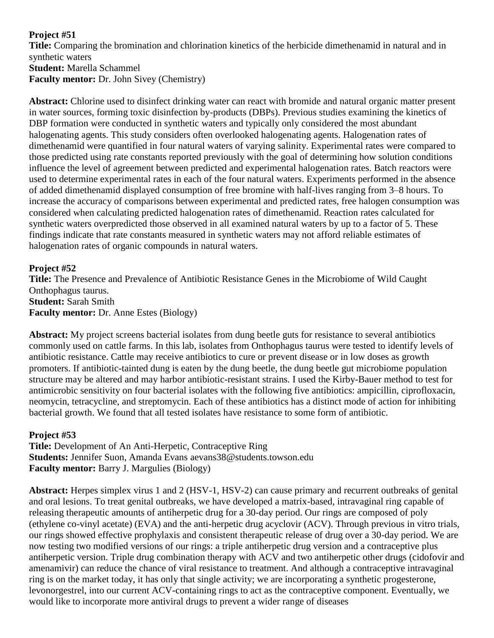# **Project #51**

**Title:** Comparing the bromination and chlorination kinetics of the herbicide dimethenamid in natural and in synthetic waters **Student:** Marella Schammel **Faculty mentor:** Dr. John Sivey (Chemistry)

**Abstract:** Chlorine used to disinfect drinking water can react with bromide and natural organic matter present in water sources, forming toxic disinfection by-products (DBPs). Previous studies examining the kinetics of DBP formation were conducted in synthetic waters and typically only considered the most abundant halogenating agents. This study considers often overlooked halogenating agents. Halogenation rates of dimethenamid were quantified in four natural waters of varying salinity. Experimental rates were compared to those predicted using rate constants reported previously with the goal of determining how solution conditions influence the level of agreement between predicted and experimental halogenation rates. Batch reactors were used to determine experimental rates in each of the four natural waters. Experiments performed in the absence of added dimethenamid displayed consumption of free bromine with half-lives ranging from 3–8 hours. To increase the accuracy of comparisons between experimental and predicted rates, free halogen consumption was considered when calculating predicted halogenation rates of dimethenamid. Reaction rates calculated for synthetic waters overpredicted those observed in all examined natural waters by up to a factor of 5. These findings indicate that rate constants measured in synthetic waters may not afford reliable estimates of halogenation rates of organic compounds in natural waters.

# **Project #52**

**Title:** The Presence and Prevalence of Antibiotic Resistance Genes in the Microbiome of Wild Caught Onthophagus taurus. **Student:** Sarah Smith **Faculty mentor:** Dr. Anne Estes (Biology)

**Abstract:** My project screens bacterial isolates from dung beetle guts for resistance to several antibiotics commonly used on cattle farms. In this lab, isolates from Onthophagus taurus were tested to identify levels of antibiotic resistance. Cattle may receive antibiotics to cure or prevent disease or in low doses as growth promoters. If antibiotic-tainted dung is eaten by the dung beetle, the dung beetle gut microbiome population structure may be altered and may harbor antibiotic-resistant strains. I used the Kirby-Bauer method to test for antimicrobic sensitivity on four bacterial isolates with the following five antibiotics: ampicillin, ciprofloxacin, neomycin, tetracycline, and streptomycin. Each of these antibiotics has a distinct mode of action for inhibiting bacterial growth. We found that all tested isolates have resistance to some form of antibiotic.

# **Project #53**

**Title:** Development of An Anti-Herpetic, Contraceptive Ring **Students:** Jennifer Suon, Amanda Evans aevans38@students.towson.edu **Faculty mentor:** Barry J. Margulies (Biology)

**Abstract:** Herpes simplex virus 1 and 2 (HSV-1, HSV-2) can cause primary and recurrent outbreaks of genital and oral lesions. To treat genital outbreaks, we have developed a matrix-based, intravaginal ring capable of releasing therapeutic amounts of antiherpetic drug for a 30-day period. Our rings are composed of poly (ethylene co-vinyl acetate) (EVA) and the anti-herpetic drug acyclovir (ACV). Through previous in vitro trials, our rings showed effective prophylaxis and consistent therapeutic release of drug over a 30-day period. We are now testing two modified versions of our rings: a triple antiherpetic drug version and a contraceptive plus antiherpetic version. Triple drug combination therapy with ACV and two antiherpetic other drugs (cidofovir and amenamivir) can reduce the chance of viral resistance to treatment. And although a contraceptive intravaginal ring is on the market today, it has only that single activity; we are incorporating a synthetic progesterone, levonorgestrel, into our current ACV-containing rings to act as the contraceptive component. Eventually, we would like to incorporate more antiviral drugs to prevent a wider range of diseases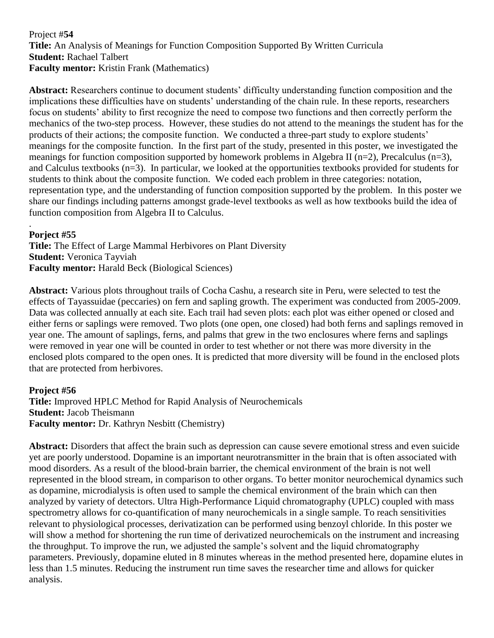### Project #**54 Title:** An Analysis of Meanings for Function Composition Supported By Written Curricula **Student:** Rachael Talbert **Faculty mentor:** Kristin Frank (Mathematics)

**Abstract:** Researchers continue to document students' difficulty understanding function composition and the implications these difficulties have on students' understanding of the chain rule. In these reports, researchers focus on students' ability to first recognize the need to compose two functions and then correctly perform the mechanics of the two-step process. However, these studies do not attend to the meanings the student has for the products of their actions; the composite function. We conducted a three-part study to explore students' meanings for the composite function. In the first part of the study, presented in this poster, we investigated the meanings for function composition supported by homework problems in Algebra II (n=2), Precalculus (n=3), and Calculus textbooks (n=3). In particular, we looked at the opportunities textbooks provided for students for students to think about the composite function. We coded each problem in three categories: notation, representation type, and the understanding of function composition supported by the problem. In this poster we share our findings including patterns amongst grade-level textbooks as well as how textbooks build the idea of function composition from Algebra II to Calculus.

#### . **Porject #55**

**Title:** The Effect of Large Mammal Herbivores on Plant Diversity **Student:** Veronica Tayviah **Faculty mentor:** Harald Beck (Biological Sciences)

**Abstract:** Various plots throughout trails of Cocha Cashu, a research site in Peru, were selected to test the effects of Tayassuidae (peccaries) on fern and sapling growth. The experiment was conducted from 2005-2009. Data was collected annually at each site. Each trail had seven plots: each plot was either opened or closed and either ferns or saplings were removed. Two plots (one open, one closed) had both ferns and saplings removed in year one. The amount of saplings, ferns, and palms that grew in the two enclosures where ferns and saplings were removed in year one will be counted in order to test whether or not there was more diversity in the enclosed plots compared to the open ones. It is predicted that more diversity will be found in the enclosed plots that are protected from herbivores.

### **Project #56**

**Title:** Improved HPLC Method for Rapid Analysis of Neurochemicals **Student:** Jacob Theismann **Faculty mentor:** Dr. Kathryn Nesbitt (Chemistry)

**Abstract:** Disorders that affect the brain such as depression can cause severe emotional stress and even suicide yet are poorly understood. Dopamine is an important neurotransmitter in the brain that is often associated with mood disorders. As a result of the blood-brain barrier, the chemical environment of the brain is not well represented in the blood stream, in comparison to other organs. To better monitor neurochemical dynamics such as dopamine, microdialysis is often used to sample the chemical environment of the brain which can then analyzed by variety of detectors. Ultra High-Performance Liquid chromatography (UPLC) coupled with mass spectrometry allows for co-quantification of many neurochemicals in a single sample. To reach sensitivities relevant to physiological processes, derivatization can be performed using benzoyl chloride. In this poster we will show a method for shortening the run time of derivatized neurochemicals on the instrument and increasing the throughput. To improve the run, we adjusted the sample's solvent and the liquid chromatography parameters. Previously, dopamine eluted in 8 minutes whereas in the method presented here, dopamine elutes in less than 1.5 minutes. Reducing the instrument run time saves the researcher time and allows for quicker analysis.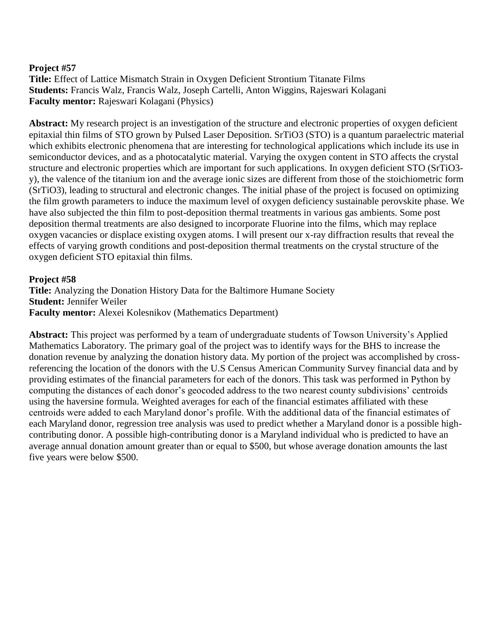### **Project #57**

**Title:** Effect of Lattice Mismatch Strain in Oxygen Deficient Strontium Titanate Films **Students:** Francis Walz, Francis Walz, Joseph Cartelli, Anton Wiggins, Rajeswari Kolagani **Faculty mentor:** Rajeswari Kolagani (Physics)

**Abstract:** My research project is an investigation of the structure and electronic properties of oxygen deficient epitaxial thin films of STO grown by Pulsed Laser Deposition. SrTiO3 (STO) is a quantum paraelectric material which exhibits electronic phenomena that are interesting for technological applications which include its use in semiconductor devices, and as a photocatalytic material. Varying the oxygen content in STO affects the crystal structure and electronic properties which are important for such applications. In oxygen deficient STO (SrTiO3 y), the valence of the titanium ion and the average ionic sizes are different from those of the stoichiometric form (SrTiO3), leading to structural and electronic changes. The initial phase of the project is focused on optimizing the film growth parameters to induce the maximum level of oxygen deficiency sustainable perovskite phase. We have also subjected the thin film to post-deposition thermal treatments in various gas ambients. Some post deposition thermal treatments are also designed to incorporate Fluorine into the films, which may replace oxygen vacancies or displace existing oxygen atoms. I will present our x-ray diffraction results that reveal the effects of varying growth conditions and post-deposition thermal treatments on the crystal structure of the oxygen deficient STO epitaxial thin films.

### **Project #58**

**Title:** Analyzing the Donation History Data for the Baltimore Humane Society **Student:** Jennifer Weiler **Faculty mentor:** Alexei Kolesnikov (Mathematics Department)

**Abstract:** This project was performed by a team of undergraduate students of Towson University's Applied Mathematics Laboratory. The primary goal of the project was to identify ways for the BHS to increase the donation revenue by analyzing the donation history data. My portion of the project was accomplished by crossreferencing the location of the donors with the U.S Census American Community Survey financial data and by providing estimates of the financial parameters for each of the donors. This task was performed in Python by computing the distances of each donor's geocoded address to the two nearest county subdivisions' centroids using the haversine formula. Weighted averages for each of the financial estimates affiliated with these centroids were added to each Maryland donor's profile. With the additional data of the financial estimates of each Maryland donor, regression tree analysis was used to predict whether a Maryland donor is a possible highcontributing donor. A possible high-contributing donor is a Maryland individual who is predicted to have an average annual donation amount greater than or equal to \$500, but whose average donation amounts the last five years were below \$500.